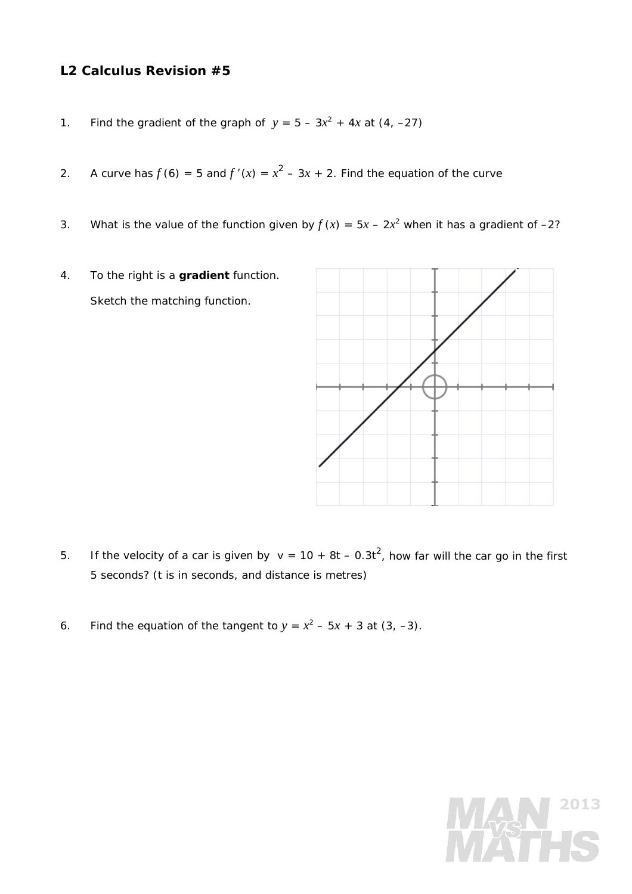## **L2 Calculus Revision #5**

- 1. Find the gradient of the graph of  $y = 5 3x^2 + 4x$  at  $(4, -27)$
- 2. A curve has  $f(6) = 5$  and  $f'(x) = x^2 3x + 2$ . Find the equation of the curve
- 3. What is the value of the function given by  $f(x) = 5x 2x^2$  when it has a gradient of -2?
- 4. To the right is a **gradient** function. Sketch the matching function.



- 5. If the velocity of a car is given by  $v = 10 + 8t 0.3t^2$ , how far will the car go in the first 5 seconds? (*t* is in seconds, and distance is metres)
- 6. Find the equation of the tangent to  $y = x^2 5x + 3$  at  $(3, -3)$ .